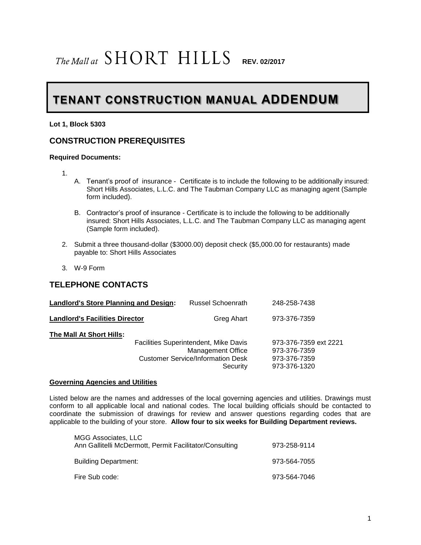# $The$ **Mallat**  $SHORT$   $HILLS$  **REV. 02/2017**

# **TENANT CONSTRUCTION MANUAL ADDENDUM**

**Lot 1, Block 5303**

#### **CONSTRUCTION PREREQUISITES**

#### **Required Documents:**

- 1.
- A. Tenant's proof of insurance Certificate is to include the following to be additionally insured: Short Hills Associates, L.L.C. and The Taubman Company LLC as managing agent (Sample form included).
- B. Contractor's proof of insurance Certificate is to include the following to be additionally insured: Short Hills Associates, L.L.C. and The Taubman Company LLC as managing agent (Sample form included).
- 2. Submit a three thousand-dollar (\$3000.00) deposit check (\$5,000.00 for restaurants) made payable to: Short Hills Associates
- 3. W-9 Form

#### **TELEPHONE CONTACTS**

| <b>Landlord's Store Planning and Design:</b> | Russel Schoenrath                                                                                                                | 248-258-7438                                                          |
|----------------------------------------------|----------------------------------------------------------------------------------------------------------------------------------|-----------------------------------------------------------------------|
| <b>Landlord's Facilities Director</b>        | Greg Ahart                                                                                                                       | 973-376-7359                                                          |
| The Mall At Short Hills:                     | <b>Facilities Superintendent, Mike Davis</b><br><b>Management Office</b><br><b>Customer Service/Information Desk</b><br>Security | 973-376-7359 ext 2221<br>973-376-7359<br>973-376-7359<br>973-376-1320 |

#### **Governing Agencies and Utilities**

Listed below are the names and addresses of the local governing agencies and utilities. Drawings must conform to all applicable local and national codes. The local building officials should be contacted to coordinate the submission of drawings for review and answer questions regarding codes that are applicable to the building of your store. **Allow four to six weeks for Building Department reviews.**

| MGG Associates, LLC<br>Ann Gallitelli McDermott, Permit Facilitator/Consulting | 973-258-9114 |
|--------------------------------------------------------------------------------|--------------|
| <b>Building Department:</b>                                                    | 973-564-7055 |
| Fire Sub code:                                                                 | 973-564-7046 |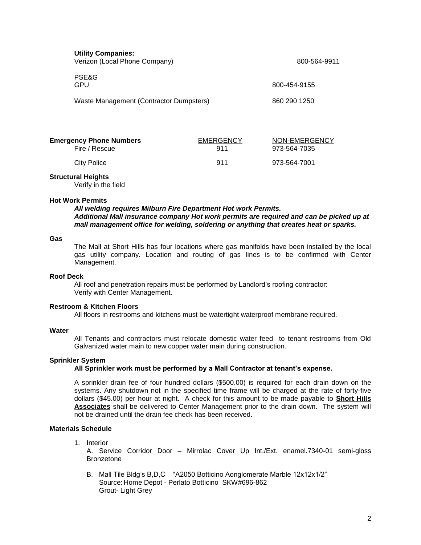| <b>Utility Companies:</b><br>Verizon (Local Phone Company) |                  | 800-564-9911  |
|------------------------------------------------------------|------------------|---------------|
| PSE&G<br>GPU                                               |                  | 800-454-9155  |
| Waste Management (Contractor Dumpsters)                    |                  | 860 290 1250  |
| <b>Emergency Phone Numbers</b>                             | <b>EMERGENCY</b> | NON-EMERGENCY |

| יווובו אבוורא ו ווחווב ואמוווואבו א | LIVILINULINUT | <b>INUIVELIVILINULINU</b> |
|-------------------------------------|---------------|---------------------------|
| Fire / Rescue                       | 911           | 973-564-7035              |
| City Police                         | 911           | 973-564-7001              |
|                                     |               |                           |

#### **Structural Heights**

Verify in the field

#### **Hot Work Permits**

*All welding requires Milburn Fire Department Hot work Permits. Additional Mall insurance company Hot work permits are required and can be picked up at mall management office for welding, soldering or anything that creates heat or sparks.*

#### **Gas**

The Mall at Short Hills has four locations where gas manifolds have been installed by the local gas utility company. Location and routing of gas lines is to be confirmed with Center Management.

#### **Roof Deck**

All roof and penetration repairs must be performed by Landlord's roofing contractor: Verify with Center Management.

#### **Restroom & Kitchen Floors**

All floors in restrooms and kitchens must be watertight waterproof membrane required.

#### **Water**

All Tenants and contractors must relocate domestic water feed to tenant restrooms from Old Galvanized water main to new copper water main during construction.

#### **Sprinkler System**

#### **All Sprinkler work must be performed by a Mall Contractor at tenant's expense.**

A sprinkler drain fee of four hundred dollars (\$500.00) is required for each drain down on the systems. Any shutdown not in the specified time frame will be charged at the rate of forty-five dollars (\$45.00) per hour at night. A check for this amount to be made payable to **Short Hills Associates** shall be delivered to Center Management prior to the drain down. The system will not be drained until the drain fee check has been received.

#### **Materials Schedule**

1. Interior

A. Service Corridor Door – Mirrolac Cover Up Int./Ext. enamel.7340-01 semi-gloss Bronzetone

B. Mall Tile Bldg's B,D,C "A2050 Botticino Aonglomerate Marble 12x12x1/2" Source: Home Depot - Perlato Botticino SKW#696-862 Grout- Light Grey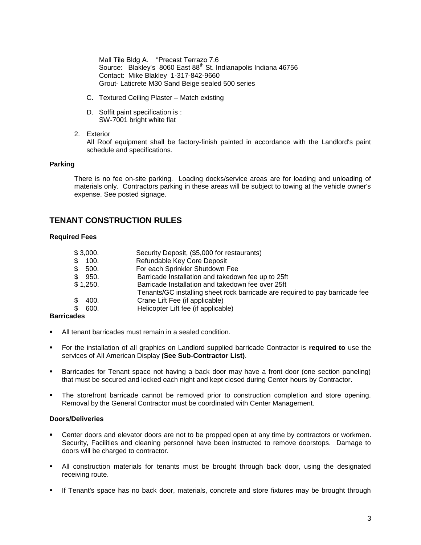Mall Tile Bldg A. "Precast Terrazo 7.6 Source: Blakley's 8060 East 88<sup>th</sup> St. Indianapolis Indiana 46756 Contact: Mike Blakley 1-317-842-9660 Grout- Laticrete M30 Sand Beige sealed 500 series

- C. Textured Ceiling Plaster Match existing
- D. Soffit paint specification is : SW-7001 bright white flat
- 2. Exterior

All Roof equipment shall be factory-finish painted in accordance with the Landlord's paint schedule and specifications.

#### **Parking**

There is no fee on-site parking. Loading docks/service areas are for loading and unloading of materials only. Contractors parking in these areas will be subject to towing at the vehicle owner's expense. See posted signage.

## **TENANT CONSTRUCTION RULES**

#### **Required Fees**

| \$3,000.          | Security Deposit, (\$5,000 for restaurants)                                  |
|-------------------|------------------------------------------------------------------------------|
| 100.<br>\$.       | Refundable Key Core Deposit                                                  |
| \$.<br>500.       | For each Sprinkler Shutdown Fee                                              |
| \$<br>950.        | Barricade Installation and takedown fee up to 25ft                           |
| \$1,250.          | Barricade Installation and takedown fee over 25ft                            |
|                   | Tenants/GC installing sheet rock barricade are required to pay barricade fee |
| 400.<br>\$.       | Crane Lift Fee (if applicable)                                               |
| \$.<br>600.       | Helicopter Lift fee (if applicable)                                          |
| <b>Barricades</b> |                                                                              |

# All tenant barricades must remain in a sealed condition.

- For the installation of all graphics on Landlord supplied barricade Contractor is **required to** use the services of All American Display **(See Sub-Contractor List)**.
- Barricades for Tenant space not having a back door may have a front door (one section paneling) that must be secured and locked each night and kept closed during Center hours by Contractor.
- The storefront barricade cannot be removed prior to construction completion and store opening. Removal by the General Contractor must be coordinated with Center Management.

#### **Doors/Deliveries**

- Center doors and elevator doors are not to be propped open at any time by contractors or workmen. Security, Facilities and cleaning personnel have been instructed to remove doorstops. Damage to doors will be charged to contractor.
- All construction materials for tenants must be brought through back door, using the designated receiving route.
- If Tenant's space has no back door, materials, concrete and store fixtures may be brought through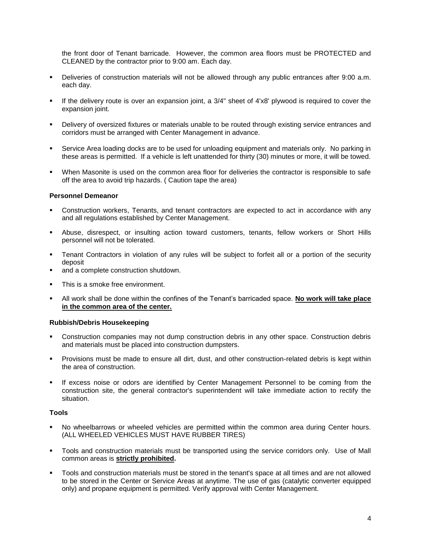the front door of Tenant barricade. However, the common area floors must be PROTECTED and CLEANED by the contractor prior to 9:00 am. Each day.

- Deliveries of construction materials will not be allowed through any public entrances after 9:00 a.m. each day.
- If the delivery route is over an expansion joint, a 3/4" sheet of 4'x8' plywood is required to cover the expansion joint.
- Delivery of oversized fixtures or materials unable to be routed through existing service entrances and corridors must be arranged with Center Management in advance.
- Service Area loading docks are to be used for unloading equipment and materials only. No parking in these areas is permitted. If a vehicle is left unattended for thirty (30) minutes or more, it will be towed.
- When Masonite is used on the common area floor for deliveries the contractor is responsible to safe off the area to avoid trip hazards. ( Caution tape the area)

#### **Personnel Demeanor**

- Construction workers, Tenants, and tenant contractors are expected to act in accordance with any and all regulations established by Center Management.
- Abuse, disrespect, or insulting action toward customers, tenants, fellow workers or Short Hills personnel will not be tolerated.
- Tenant Contractors in violation of any rules will be subject to forfeit all or a portion of the security deposit
- and a complete construction shutdown.
- This is a smoke free environment.
- All work shall be done within the confines of the Tenant's barricaded space. **No work will take place in the common area of the center.**

#### **Rubbish/Debris Housekeeping**

- Construction companies may not dump construction debris in any other space. Construction debris and materials must be placed into construction dumpsters.
- Provisions must be made to ensure all dirt, dust, and other construction-related debris is kept within the area of construction.
- If excess noise or odors are identified by Center Management Personnel to be coming from the construction site, the general contractor's superintendent will take immediate action to rectify the situation.

#### **Tools**

- No wheelbarrows or wheeled vehicles are permitted within the common area during Center hours. (ALL WHEELED VEHICLES MUST HAVE RUBBER TIRES)
- Tools and construction materials must be transported using the service corridors only. Use of Mall common areas is **strictly prohibited.**
- Tools and construction materials must be stored in the tenant's space at all times and are not allowed to be stored in the Center or Service Areas at anytime. The use of gas (catalytic converter equipped only) and propane equipment is permitted. Verify approval with Center Management.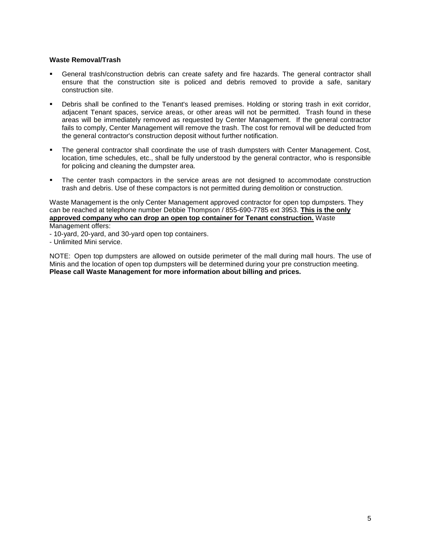#### **Waste Removal/Trash**

- General trash/construction debris can create safety and fire hazards. The general contractor shall ensure that the construction site is policed and debris removed to provide a safe, sanitary construction site.
- Debris shall be confined to the Tenant's leased premises. Holding or storing trash in exit corridor, adjacent Tenant spaces, service areas, or other areas will not be permitted. Trash found in these areas will be immediately removed as requested by Center Management. If the general contractor fails to comply, Center Management will remove the trash. The cost for removal will be deducted from the general contractor's construction deposit without further notification.
- The general contractor shall coordinate the use of trash dumpsters with Center Management. Cost, location, time schedules, etc., shall be fully understood by the general contractor, who is responsible for policing and cleaning the dumpster area.
- The center trash compactors in the service areas are not designed to accommodate construction trash and debris. Use of these compactors is not permitted during demolition or construction.

Waste Management is the only Center Management approved contractor for open top dumpsters. They can be reached at telephone number Debbie Thompson / 855-690-7785 ext 3953. **This is the only approved company who can drop an open top container for Tenant construction.** Waste Management offers:

- 10-yard, 20-yard, and 30-yard open top containers.
- Unlimited Mini service.

NOTE: Open top dumpsters are allowed on outside perimeter of the mall during mall hours. The use of Minis and the location of open top dumpsters will be determined during your pre construction meeting. **Please call Waste Management for more information about billing and prices.**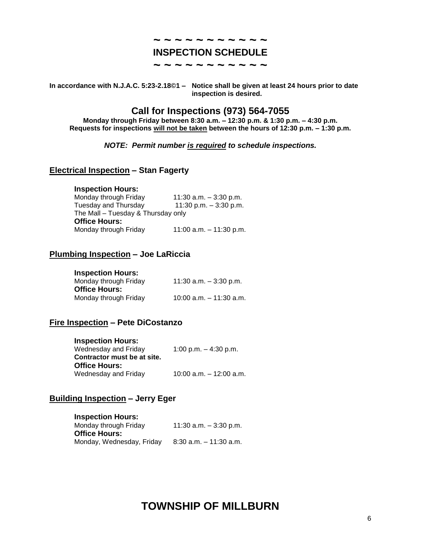### **~ ~ ~ ~ ~ ~ ~ ~ ~ ~ ~ INSPECTION SCHEDULE**

**~ ~ ~ ~ ~ ~ ~ ~ ~ ~ ~**

**In accordance with N.J.A.C. 5:23-2.18©1 – Notice shall be given at least 24 hours prior to date inspection is desired.**

# **Call for Inspections (973) 564-7055**

**Monday through Friday between 8:30 a.m. – 12:30 p.m. & 1:30 p.m. – 4:30 p.m. Requests for inspections will not be taken between the hours of 12:30 p.m. – 1:30 p.m.**

#### *NOTE: Permit number is required to schedule inspections.*

#### **Electrical Inspection – Stan Fagerty**

#### **Inspection Hours:**

| Monday through Friday              | 11:30 a.m. $-3:30$ p.m.   |
|------------------------------------|---------------------------|
| Tuesday and Thursday               | 11:30 p.m. $-3:30$ p.m.   |
| The Mall - Tuesday & Thursday only |                           |
| <b>Office Hours:</b>               |                           |
| Monday through Friday              | 11:00 a.m. $-$ 11:30 p.m. |

#### **Plumbing Inspection – Joe LaRiccia**

#### **Inspection Hours:**

| Monday through Friday<br><b>Office Hours:</b> | 11:30 a.m. $-$ 3:30 p.m.  |
|-----------------------------------------------|---------------------------|
| Monday through Friday                         | 10:00 a.m. $-$ 11:30 a.m. |

#### **Fire Inspection – Pete DiCostanzo**

| <b>Inspection Hours:</b>    |                            |
|-----------------------------|----------------------------|
| Wednesday and Friday        | 1:00 p.m. $-$ 4:30 p.m.    |
| Contractor must be at site. |                            |
| <b>Office Hours:</b>        |                            |
| Wednesday and Friday        | $10:00$ a.m. $-12:00$ a.m. |

#### **Building Inspection – Jerry Eger**

| <b>Inspection Hours:</b>  |                           |
|---------------------------|---------------------------|
| Monday through Friday     | 11:30 a.m. $-$ 3:30 p.m.  |
| <b>Office Hours:</b>      |                           |
| Monday, Wednesday, Friday | $8:30$ a.m. $-11:30$ a.m. |

# **TOWNSHIP OF MILLBURN**